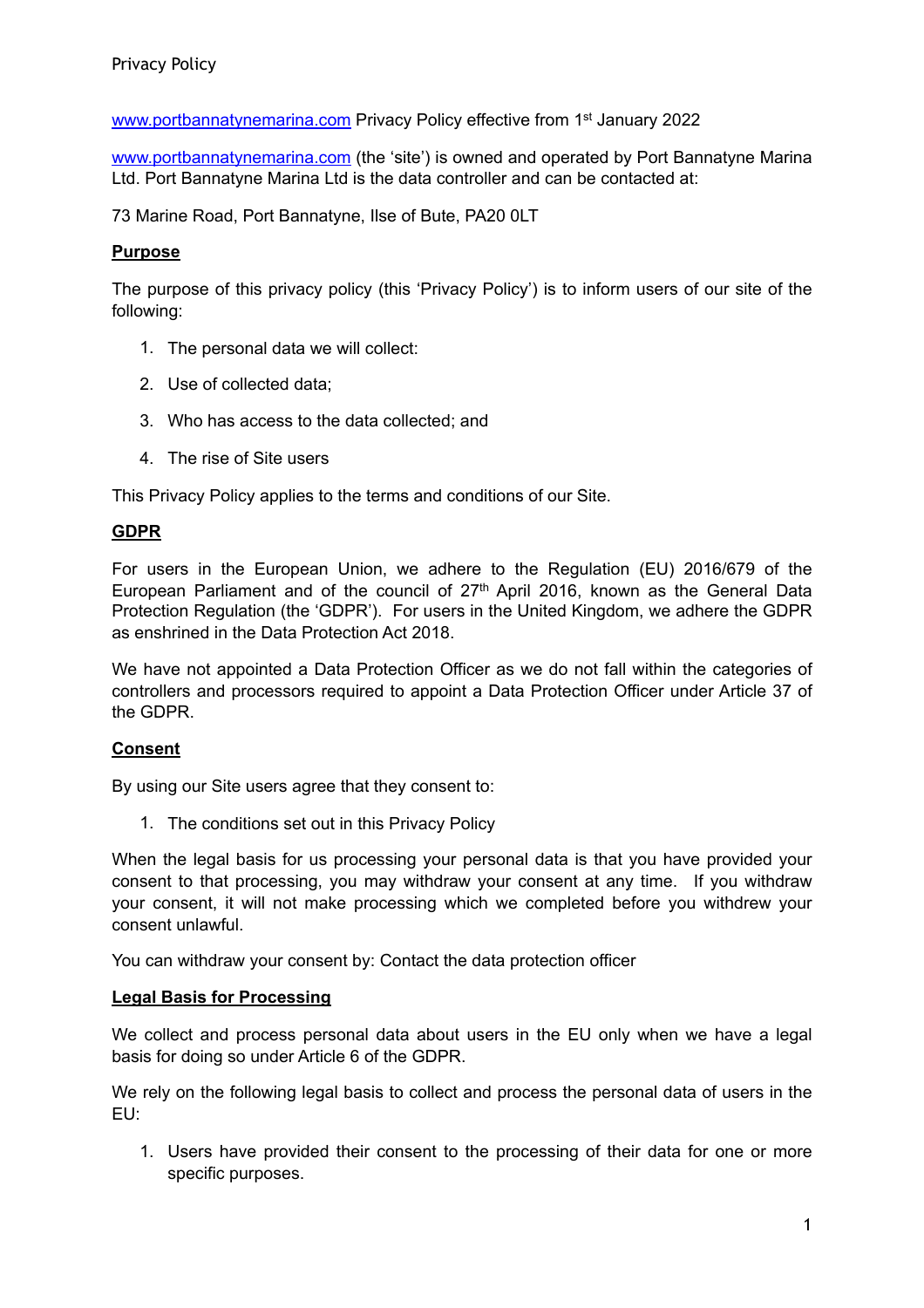[www.portbannatynemarina.com](http://www.portbannatynemarina.com) Privacy Policy effective from 1<sup>st</sup> January 2022

[www.portbannatynemarina.com](http://www.portbannatynemarina.com) (the 'site') is owned and operated by Port Bannatyne Marina Ltd. Port Bannatyne Marina Ltd is the data controller and can be contacted at:

73 Marine Road, Port Bannatyne, Ilse of Bute, PA20 0LT

# **Purpose**

The purpose of this privacy policy (this 'Privacy Policy') is to inform users of our site of the following:

- 1. The personal data we will collect:
- 2. Use of collected data;
- 3. Who has access to the data collected; and
- 4. The rise of Site users

This Privacy Policy applies to the terms and conditions of our Site.

# **GDPR**

For users in the European Union, we adhere to the Regulation (EU) 2016/679 of the European Parliament and of the council of 27<sup>th</sup> April 2016, known as the General Data Protection Regulation (the 'GDPR'). For users in the United Kingdom, we adhere the GDPR as enshrined in the Data Protection Act 2018.

We have not appointed a Data Protection Officer as we do not fall within the categories of controllers and processors required to appoint a Data Protection Officer under Article 37 of the GDPR.

## **Consent**

By using our Site users agree that they consent to:

1. The conditions set out in this Privacy Policy

When the legal basis for us processing your personal data is that you have provided your consent to that processing, you may withdraw your consent at any time. If you withdraw your consent, it will not make processing which we completed before you withdrew your consent unlawful.

You can withdraw your consent by: Contact the data protection officer

## **Legal Basis for Processing**

We collect and process personal data about users in the EU only when we have a legal basis for doing so under Article 6 of the GDPR.

We rely on the following legal basis to collect and process the personal data of users in the EU:

1. Users have provided their consent to the processing of their data for one or more specific purposes.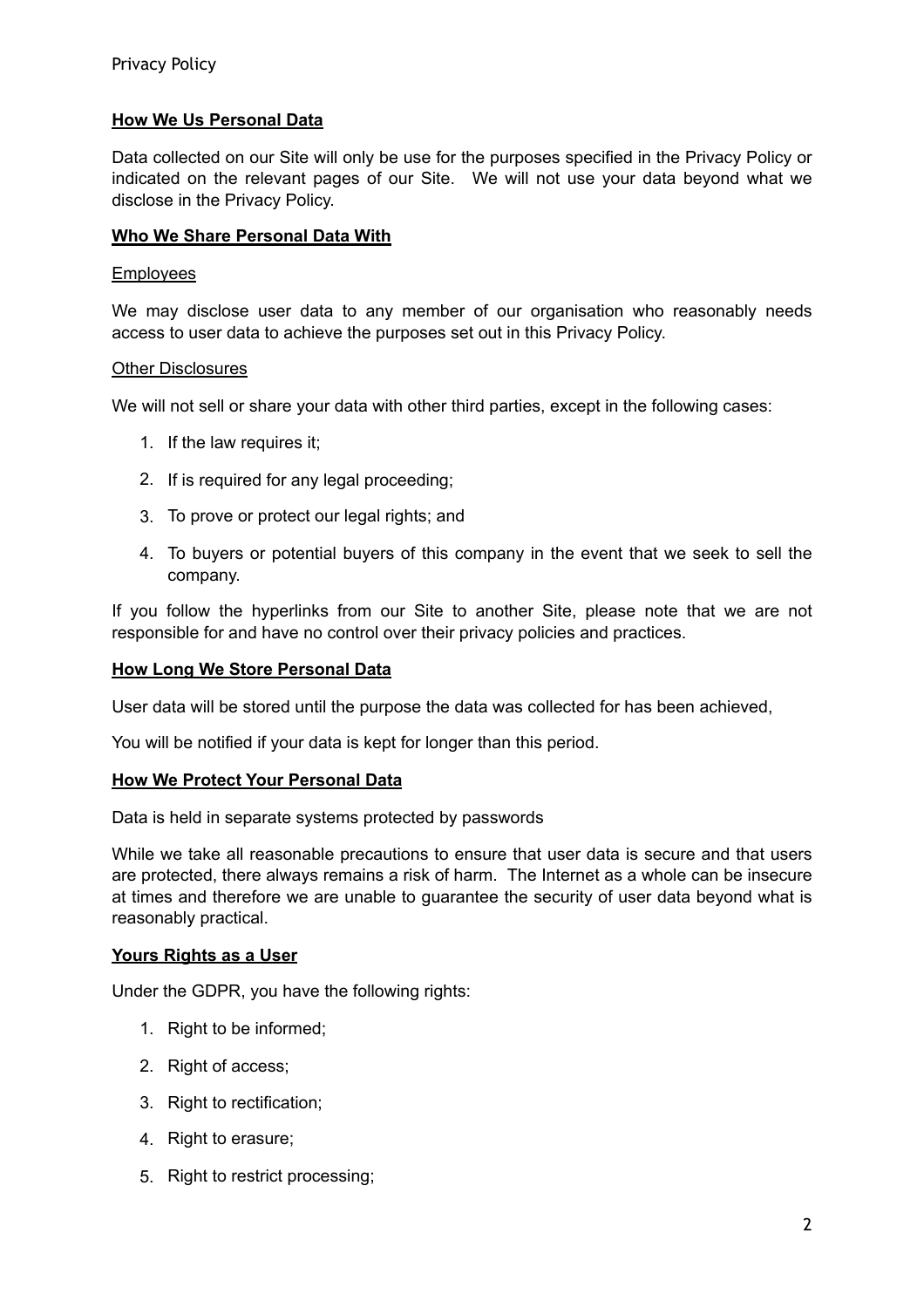# **How We Us Personal Data**

Data collected on our Site will only be use for the purposes specified in the Privacy Policy or indicated on the relevant pages of our Site. We will not use your data beyond what we disclose in the Privacy Policy.

### **Who We Share Personal Data With**

#### Employees

We may disclose user data to any member of our organisation who reasonably needs access to user data to achieve the purposes set out in this Privacy Policy.

#### Other Disclosures

We will not sell or share your data with other third parties, except in the following cases:

- 1. If the law requires it;
- 2. If is required for any legal proceeding:
- 3. To prove or protect our legal rights; and
- 4. To buyers or potential buyers of this company in the event that we seek to sell the company.

If you follow the hyperlinks from our Site to another Site, please note that we are not responsible for and have no control over their privacy policies and practices.

#### **How Long We Store Personal Data**

User data will be stored until the purpose the data was collected for has been achieved,

You will be notified if your data is kept for longer than this period.

#### **How We Protect Your Personal Data**

Data is held in separate systems protected by passwords

While we take all reasonable precautions to ensure that user data is secure and that users are protected, there always remains a risk of harm. The Internet as a whole can be insecure at times and therefore we are unable to guarantee the security of user data beyond what is reasonably practical.

#### **Yours Rights as a User**

Under the GDPR, you have the following rights:

- 1. Right to be informed;
- 2. Right of access:
- 3. Right to rectification:
- 4. Right to erasure;
- 5. Right to restrict processing;